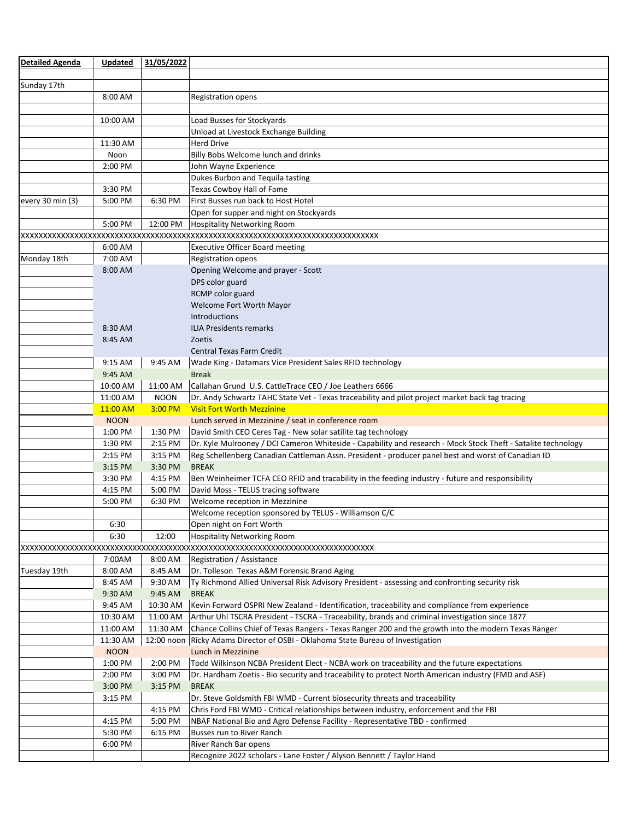| <b>Detailed Agenda</b> | Updated     | 31/05/2022  |                                                                                                               |  |  |
|------------------------|-------------|-------------|---------------------------------------------------------------------------------------------------------------|--|--|
|                        |             |             |                                                                                                               |  |  |
| Sunday 17th            |             |             |                                                                                                               |  |  |
|                        | 8:00 AM     |             | <b>Registration opens</b>                                                                                     |  |  |
|                        |             |             |                                                                                                               |  |  |
|                        | 10:00 AM    |             | Load Busses for Stockyards                                                                                    |  |  |
|                        |             |             | Unload at Livestock Exchange Building                                                                         |  |  |
|                        | 11:30 AM    |             | <b>Herd Drive</b>                                                                                             |  |  |
|                        | Noon        |             | Billy Bobs Welcome lunch and drinks                                                                           |  |  |
|                        | 2:00 PM     |             | John Wayne Experience                                                                                         |  |  |
|                        |             |             | Dukes Burbon and Tequila tasting                                                                              |  |  |
|                        | 3:30 PM     |             | Texas Cowboy Hall of Fame                                                                                     |  |  |
| every 30 min (3)       | 5:00 PM     | 6:30 PM     | First Busses run back to Host Hotel                                                                           |  |  |
|                        |             |             | Open for supper and night on Stockyards                                                                       |  |  |
|                        | 5:00 PM     | 12:00 PM    | Hospitality Networking Room                                                                                   |  |  |
|                        |             |             |                                                                                                               |  |  |
|                        | 6:00 AM     |             | <b>Executive Officer Board meeting</b>                                                                        |  |  |
| Monday 18th            | 7:00 AM     |             | <b>Registration opens</b>                                                                                     |  |  |
|                        | 8:00 AM     |             | Opening Welcome and prayer - Scott                                                                            |  |  |
|                        |             |             | DPS color guard                                                                                               |  |  |
|                        |             |             |                                                                                                               |  |  |
|                        |             |             | RCMP color guard                                                                                              |  |  |
|                        |             |             | Welcome Fort Worth Mayor                                                                                      |  |  |
|                        |             |             | <b>Introductions</b>                                                                                          |  |  |
|                        | 8:30 AM     |             | <b>ILIA Presidents remarks</b>                                                                                |  |  |
|                        | 8:45 AM     |             | Zoetis                                                                                                        |  |  |
|                        |             |             | <b>Central Texas Farm Credit</b>                                                                              |  |  |
|                        | 9:15 AM     | 9:45 AM     | Wade King - Datamars Vice President Sales RFID technology                                                     |  |  |
|                        | 9:45 AM     |             | <b>Break</b>                                                                                                  |  |  |
|                        | 10:00 AM    | 11:00 AM    | Callahan Grund U.S. CattleTrace CEO / Joe Leathers 6666                                                       |  |  |
|                        | 11:00 AM    | <b>NOON</b> | Dr. Andy Schwartz TAHC State Vet - Texas traceability and pilot project market back tag tracing               |  |  |
|                        | 11:00 AM    | 3:00 PM     | <b>Visit Fort Worth Mezzinine</b>                                                                             |  |  |
|                        | <b>NOON</b> |             | Lunch served in Mezzinine / seat in conference room                                                           |  |  |
|                        | 1:00 PM     | 1:30 PM     | David Smith CEO Ceres Tag - New solar satilite tag technology                                                 |  |  |
|                        | 1:30 PM     | 2:15 PM     | Dr. Kyle Mulrooney / DCI Cameron Whiteside - Capability and research - Mock Stock Theft - Satalite technology |  |  |
|                        | 2:15 PM     | 3:15 PM     | Reg Schellenberg Canadian Cattleman Assn. President - producer panel best and worst of Canadian ID            |  |  |
|                        | 3:15 PM     | 3:30 PM     | <b>BREAK</b>                                                                                                  |  |  |
|                        | 3:30 PM     | 4:15 PM     | Ben Weinheimer TCFA CEO RFID and tracability in the feeding industry - future and responsibility              |  |  |
|                        | 4:15 PM     | 5:00 PM     | David Moss - TELUS tracing software                                                                           |  |  |
|                        | 5:00 PM     | 6:30 PM     | Welcome reception in Mezzinine                                                                                |  |  |
|                        |             |             | Welcome reception sponsored by TELUS - Williamson C/C                                                         |  |  |
|                        | 6:30        |             | Open night on Fort Worth                                                                                      |  |  |
|                        | 6:30        | 12:00       | <b>Hospitality Networking Room</b>                                                                            |  |  |
|                        |             |             |                                                                                                               |  |  |
|                        | 7:00AM      | 8:00 AM     | Registration / Assistance                                                                                     |  |  |
| Tuesday 19th           | 8:00 AM     | 8:45 AM     | Dr. Tolleson Texas A&M Forensic Brand Aging                                                                   |  |  |
|                        | 8:45 AM     | 9:30 AM     | Ty Richmond Allied Universal Risk Advisory President - assessing and confronting security risk                |  |  |
|                        | 9:30 AM     | 9:45 AM     | <b>BREAK</b>                                                                                                  |  |  |
|                        | 9:45 AM     | 10:30 AM    | Kevin Forward OSPRI New Zealand - Identification, traceability and compliance from experience                 |  |  |
|                        | 10:30 AM    | 11:00 AM    | Arthur Uhl TSCRA President - TSCRA - Traceability, brands and criminal investigation since 1877               |  |  |
|                        | 11:00 AM    | 11:30 AM    | Chance Collins Chief of Texas Rangers - Texas Ranger 200 and the growth into the modern Texas Ranger          |  |  |
|                        | 11:30 AM    |             | 12:00 noon   Ricky Adams Director of OSBI - Oklahoma State Bureau of Investigation                            |  |  |
|                        | <b>NOON</b> |             | Lunch in Mezzinine                                                                                            |  |  |
|                        | 1:00 PM     | 2:00 PM     | Todd Wilkinson NCBA President Elect - NCBA work on traceability and the future expectations                   |  |  |
|                        | 2:00 PM     | 3:00 PM     |                                                                                                               |  |  |
|                        |             |             | Dr. Hardham Zoetis - Bio security and traceability to protect North American industry (FMD and ASF)           |  |  |
|                        | 3:00 PM     | 3:15 PM     | <b>BREAK</b>                                                                                                  |  |  |
|                        | 3:15 PM     |             | Dr. Steve Goldsmith FBI WMD - Current biosecurity threats and traceability                                    |  |  |
|                        |             | 4:15 PM     | Chris Ford FBI WMD - Critical relationships between industry, enforcement and the FBI                         |  |  |
|                        | 4:15 PM     | 5:00 PM     | NBAF National Bio and Agro Defense Facility - Representative TBD - confirmed                                  |  |  |
|                        | 5:30 PM     | 6:15 PM     | Busses run to River Ranch                                                                                     |  |  |
|                        | 6:00 PM     |             | River Ranch Bar opens                                                                                         |  |  |
|                        |             |             | Recognize 2022 scholars - Lane Foster / Alyson Bennett / Taylor Hand                                          |  |  |